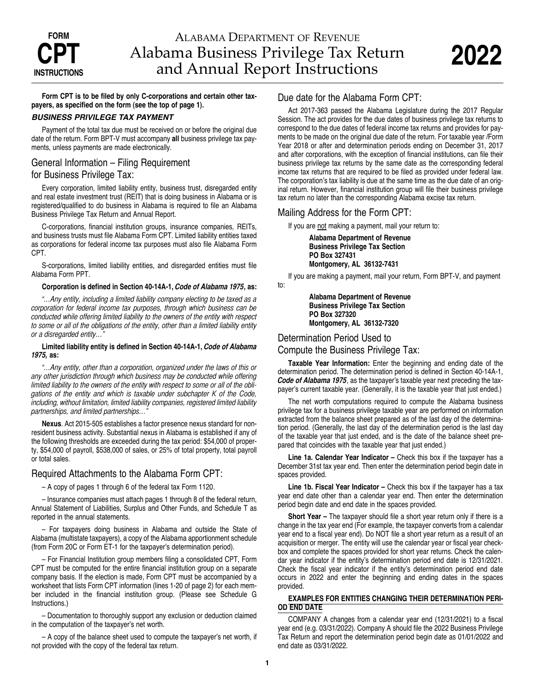# ALABAMA DEPARTMENT OF REVENUE Alabama Business Privilege Tax Return and Annual Report Instructions

**Form CPT is to be filed by only C-corporations and certain other taxpayers, as specified on the form (see the top of page 1).**

#### *BUSINESS PRIVILEGE TAX PAYMENT*

Payment of the total tax due must be received on or before the original due date of the return. Form BPT-V must accompany **all** business privilege tax payments, unless payments are made electronically.

## General Information – Filing Requirement for Business Privilege Tax:

Every corporation, limited liability entity, business trust, disregarded entity and real estate investment trust (REIT) that is doing business in Alabama or is registered/qualified to do business in Alabama is required to file an Alabama Business Privilege Tax Return and Annual Report.

C-corporations, financial institution groups, insurance companies, REITs, and business trusts must file Alabama Form CPT. Limited liability entities taxed as corporations for federal income tax purposes must also file Alabama Form CPT.

S-corporations, limited liability entities, and disregarded entities must file Alabama Form PPT.

#### **Corporation is defined in Section 40-14A-1,** *Code of Alabama 1975***, as:**

*"…Any entity, including a limited liability company electing to be taxed as a corporation for federal income tax purposes, through which business can be conducted while offering limited liability to the owners of the entity with respect to some or all of the obligations of the entity, other than a limited liability entity or a disregarded entity…"*

#### **Limited liability entity is defined in Section 40-14A-1,** *Code of Alabama 1975,* **as:**

*"…Any entity, other than a corporation, organized under the laws of this or any other jurisdiction through which business may be conducted while offering limited liability to the owners of the entity with respect to some or all of the obligations of the entity and which is taxable under subchapter K of the Code, including, without limitation, limited liability companies, registered limited liability partnerships, and limited partnerships…"* 

**Nexus**. Act 2015-505 establishes a factor presence nexus standard for nonresident business activity. Substantial nexus in Alabama is established if any of the following thresholds are exceeded during the tax period: \$54,000 of property, \$54,000 of payroll, \$538,000 of sales, or 25% of total property, total payroll or total sales.

## Required Attachments to the Alabama Form CPT:

– A copy of pages 1 through 6 of the federal tax Form 1120.

– Insurance companies must attach pages 1 through 8 of the federal return, Annual Statement of Liabilities, Surplus and Other Funds, and Schedule T as reported in the annual statements.

– For taxpayers doing business in Alabama and outside the State of Alabama (multistate taxpayers), a copy of the Alabama apportionment schedule (from Form 20C or Form ET-1 for the taxpayer's determination period).

– For Financial Institution group members filing a consolidated CPT, Form CPT must be computed for the entire financial institution group on a separate company basis. If the election is made, Form CPT must be accompanied by a worksheet that lists Form CPT information (lines 1-20 of page 2) for each member included in the financial institution group. (Please see Schedule G Instructions.)

– Documentation to thoroughly support any exclusion or deduction claimed in the computation of the taxpayer's net worth.

– A copy of the balance sheet used to compute the taxpayer's net worth, if not provided with the copy of the federal tax return.

## Due date for the Alabama Form CPT:

Act 2017-363 passed the Alabama Legislature during the 2017 Regular Session. The act provides for the due dates of business privilege tax returns to correspond to the due dates of federal income tax returns and provides for payments to be made on the original due date of the return. For taxable year /Form Year 2018 or after and determination periods ending on December 31, 2017 and after corporations, with the exception of financial institutions, can file their business privilege tax returns by the same date as the corresponding federal income tax returns that are required to be filed as provided under federal law. The corporation's tax liability is due at the same time as the due date of an original return. However, financial institution group will file their business privilege tax return no later than the corresponding Alabama excise tax return.

## Mailing Address for the Form CPT:

If you are not making a payment, mail your return to:

**Alabama Department of Revenue Business Privilege Tax Section PO Box 327431 Montgomery, AL 36132-7431**

If you are making a payment, mail your return, Form BPT-V, and payment to:

> **Alabama Department of Revenue Business Privilege Tax Section PO Box 327320 Montgomery, AL 36132-7320**

## Determination Period Used to

Compute the Business Privilege Tax:

**Taxable Year Information:** Enter the beginning and ending date of the determination period. The determination period is defined in Section 40-14A-1, *Code of Alabama 1975*, as the taxpayer's taxable year next preceding the taxpayer's current taxable year. (Generally, it is the taxable year that just ended.)

The net worth computations required to compute the Alabama business privilege tax for a business privilege taxable year are performed on information extracted from the balance sheet prepared as of the last day of the determination period. (Generally, the last day of the determination period is the last day of the taxable year that just ended, and is the date of the balance sheet prepared that coincides with the taxable year that just ended.)

**Line 1a. Calendar Year Indicator –** Check this box if the taxpayer has a December 31st tax year end. Then enter the determination period begin date in spaces provided.

**Line 1b. Fiscal Year Indicator –** Check this box if the taxpayer has a tax year end date other than a calendar year end. Then enter the determination period begin date and end date in the spaces provided.

**Short Year –** The taxpayer should file a short year return only if there is a change in the tax year end (For example, the taxpayer converts from a calendar year end to a fiscal year end). Do NOT file a short year return as a result of an acquisition or merger. The entity will use the calendar year or fiscal year checkbox and complete the spaces provided for short year returns. Check the calendar year indicator if the entity's determination period end date is 12/31/2021 . Check the fiscal year indicator if the entity's determination period end date occurs in 2022 and enter the beginning and ending dates in the spaces provided.

#### **EXAMPLES FOR ENTITIES CHANGING THEIR DETERMINATION PERI-OD END DATE**

COMPANY A changes from a calendar year end (12/31/2021) to a fiscal year end (e.g. 03/31/2022). Company A should file the 2022 Business Privilege Tax Return and report the determination period begin date as 01/01/2022 and end date as 03/31/2022.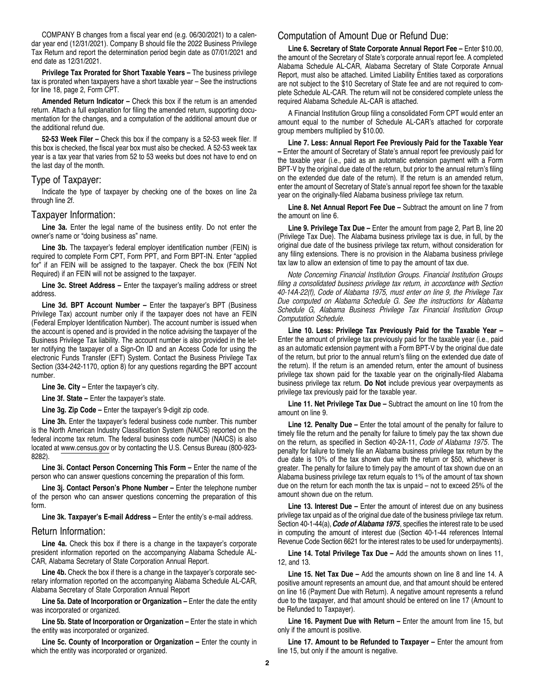COMPANY B changes from a fiscal year end (e.g. 06/30/2021) to a calendar year end (12/31/2021). Company B should file the 2022 Business Privilege Tax Return and report the determination period begin date as 07/01/2021 and end date as 12/31/2021.

**Privilege Tax Prorated for Short Taxable Years –** The business privilege tax is prorated when taxpayers have a short taxable year – See the instructions for line 18, page 2, Form CPT.

**Amended Return Indicator –** Check this box if the return is an amended return. Attach a full explanation for filing the amended return, supporting documentation for the changes, and a computation of the additional amount due or the additional refund due.

**52-53 Week Filer –** Check this box if the company is a 52-53 week filer. If this box is checked, the fiscal year box must also be checked. A 52-53 week tax year is a tax year that varies from 52 to 53 weeks but does not have to end on the last day of the month.

#### Type of Taxpayer:

Indicate the type of taxpayer by checking one of the boxes on line 2a through line 2f.

#### Taxpayer Information:

**Line 3a.** Enter the legal name of the business entity. Do not enter the owner's name or "doing business as" name.

**Line 3b.** The taxpayer's federal employer identification number (FEIN) is required to complete Form CPT, Form PPT, and Form BPT-IN. Enter "applied for" if an FEIN will be assigned to the taxpayer. Check the box (FEIN Not Required) if an FEIN will not be assigned to the taxpayer.

**Line 3c. Street Address –** Enter the taxpayer's mailing address or street address.

**Line 3d. BPT Account Number –** Enter the taxpayer's BPT (Business Privilege Tax) account number only if the taxpayer does not have an FEIN (Federal Employer Identification Number). The account number is issued when the account is opened and is provided in the notice advising the taxpayer of the Business Privilege Tax liability. The account number is also provided in the letter notifying the taxpayer of a Sign-On ID and an Access Code for using the electronic Funds Transfer (EFT) System. Contact the Business Privilege Tax Section (334-242-1170, option 8) for any questions regarding the BPT account number.

**Line 3e. City –** Enter the taxpayer's city.

**Line 3f. State –** Enter the taxpayer's state.

**Line 3g. Zip Code –** Enter the taxpayer's 9-digit zip code.

**Line 3h.** Enter the taxpayer's federal business code number. This number is the North American Industry Classification System (NAICS) reported on the federal income tax return. The federal business code number (NAICS) is also located at www.census.gov or by contacting the U.S. Census Bureau (800-923- 8282).

**Line 3i. Contact Person Concerning This Form –** Enter the name of the person who can answer questions concerning the preparation of this form.

**Line 3j. Contact Person's Phone Number –** Enter the telephone number of the person who can answer questions concerning the preparation of this form.

**Line 3k. Taxpayer's E-mail Address –** Enter the entity's e-mail address.

#### Return Information:

**Line 4a.** Check this box if there is a change in the taxpayer's corporate president information reported on the accompanying Alabama Schedule AL-CAR, Alabama Secretary of State Corporation Annual Report.

**Line 4b.** Check the box if there is a change in the taxpayer's corporate secretary information reported on the accompanying Alabama Schedule AL-CAR, Alabama Secretary of State Corporation Annual Report

**Line 5a. Date of Incorporation or Organization –** Enter the date the entity was incorporated or organized.

**Line 5b. State of Incorporation or Organization –** Enter the state in which the entity was incorporated or organized.

**Line 5c. County of Incorporation or Organization –** Enter the county in which the entity was incorporated or organized.

## Computation of Amount Due or Refund Due:

**Line 6. Secretary of State Corporate Annual Report Fee –** Enter \$10.00, the amount of the Secretary of State's corporate annual report fee. A completed Alabama Schedule AL-CAR, Alabama Secretary of State Corporate Annual Report, must also be attached. Limited Liability Entities taxed as corporations are not subject to the \$10 Secretary of State fee and are not required to complete Schedule AL-CAR. The return will not be considered complete unless the required Alabama Schedule AL-CAR is attached.

A Financial Institution Group filing a consolidated Form CPT would enter an amount equal to the number of Schedule AL-CAR's attached for corporate group members multiplied by \$10.00.

**Line 7. Less: Annual Report Fee Previously Paid for the Taxable Year –** Enter the amount of Secretary of State's annual report fee previously paid for the taxable year (i.e., paid as an automatic extension payment with a Form BPT-V by the original due date of the return, but prior to the annual return's filing on the extended due date of the return). If the return is an amended return, enter the amount of Secretary of State's annual report fee shown for the taxable year on the originally-filed Alabama business privilege tax return.

**Line 8. Net Annual Report Fee Due –** Subtract the amount on line 7 from the amount on line 6.

**Line 9. Privilege Tax Due –** Enter the amount from page 2, Part B, line 20 (Privilege Tax Due). The Alabama business privilege tax is due, in full, by the original due date of the business privilege tax return, without consideration for any filing extensions. There is no provision in the Alabama business privilege tax law to allow an extension of time to pay the amount of tax due.

*Note Concerning Financial Institution Groups. Financial Institution Groups filing a consolidated business privilege tax return, in accordance with Section 40-14A-22(f), Code of Alabama 1975, must enter on line 9, the Privilege Tax Due computed on Alabama Schedule G. See the instructions for Alabama Schedule G, Alabama Business Privilege Tax Financial Institution Group Computation Schedule.*

**Line 10. Less: Privilege Tax Previously Paid for the Taxable Year –** Enter the amount of privilege tax previously paid for the taxable year (i.e., paid as an automatic extension payment with a Form BPT-V by the original due date of the return, but prior to the annual return's filing on the extended due date of the return). If the return is an amended return, enter the amount of business privilege tax shown paid for the taxable year on the originally-filed Alabama business privilege tax return. **Do Not** include previous year overpayments as privilege tax previously paid for the taxable year.

**Line 11. Net Privilege Tax Due –** Subtract the amount on line 10 from the amount on line 9.

**Line 12. Penalty Due –** Enter the total amount of the penalty for failure to timely file the return and the penalty for failure to timely pay the tax shown due on the return, as specified in Section 40-2A-11, *Code of Alabama 1975*. The penalty for failure to timely file an Alabama business privilege tax return by the due date is 10% of the tax shown due with the return or \$50, whichever is greater. The penalty for failure to timely pay the amount of tax shown due on an Alabama business privilege tax return equals to 1% of the amount of tax shown due on the return for each month the tax is unpaid – not to exceed 25% of the amount shown due on the return.

**Line 13. Interest Due –** Enter the amount of interest due on any business privilege tax unpaid as of the original due date of the business privilege tax return. Section 40-1-44(a), *Code of Alabama 1975*, specifies the interest rate to be used in computing the amount of interest due (Section 40-1-44 references Internal Revenue Code Section 6621 for the interest rates to be used for underpayments).

**Line 14. Total Privilege Tax Due –** Add the amounts shown on lines 11, 12, and 13.

**Line 15. Net Tax Due –** Add the amounts shown on line 8 and line 14. A positive amount represents an amount due, and that amount should be entered on line 16 (Payment Due with Return). A negative amount represents a refund due to the taxpayer, and that amount should be entered on line 17 (Amount to be Refunded to Taxpayer).

Line 16. Payment Due with Return - Enter the amount from line 15, but only if the amount is positive.

**Line 17. Amount to be Refunded to Taxpayer –** Enter the amount from line 15, but only if the amount is negative.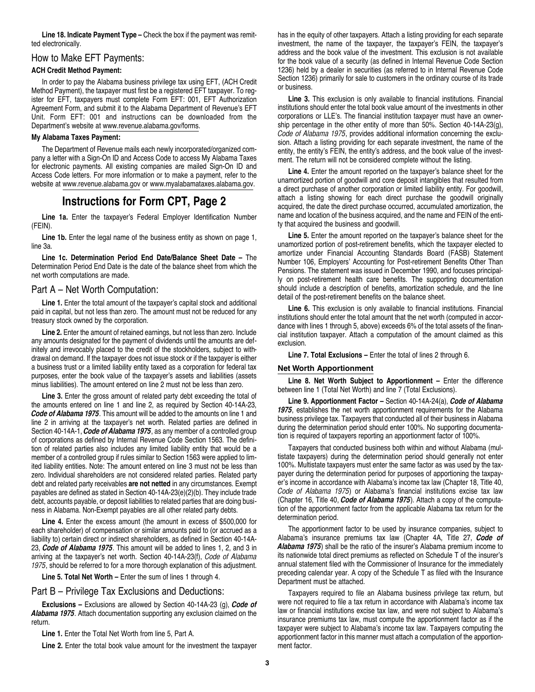**Line 18. Indicate Payment Type –** Check the box if the payment was remitted electronically.

#### How to Make EFT Payments:

#### **ACH Credit Method Payment:**

In order to pay the Alabama business privilege tax using EFT, (ACH Credit Method Payment), the taxpayer must first be a registered EFT taxpayer. To register for EFT, taxpayers must complete Form EFT: 001, EFT Authorization Agreement Form, and submit it to the Alabama Department of Revenue's EFT Unit. Form EFT: 001 and instructions can be downloaded from the Department's website at www.revenue.alabama.gov/forms.

#### **My Alabama Taxes Payment:**

The Department of Revenue mails each newly incorporated/organized company a letter with a Sign-On ID and Access Code to access My Alabama Taxes for electronic payments. All existing companies are mailed Sign-On ID and Access Code letters. For more information or to make a payment, refer to the website at www.revenue.alabama.gov or www.myalabamataxes.alabama.gov.

## **Instructions for Form CPT, Page 2**

**Line 1a.** Enter the taxpayer's Federal Employer Identification Number (FEIN).

**Line 1b.** Enter the legal name of the business entity as shown on page 1, line 3a.

**Line 1c. Determination Period End Date/Balance Sheet Date –** The Determination Period End Date is the date of the balance sheet from which the net worth computations are made.

## Part A – Net Worth Computation:

**Line 1.** Enter the total amount of the taxpayer's capital stock and additional paid in capital, but not less than zero. The amount must not be reduced for any treasury stock owned by the corporation.

**Line 2.** Enter the amount of retained earnings, but not less than zero. Include any amounts designated for the payment of dividends until the amounts are definitely and irrevocably placed to the credit of the stockholders, subject to withdrawal on demand. If the taxpayer does not issue stock or if the taxpayer is either a business trust or a limited liability entity taxed as a corporation for federal tax purposes, enter the book value of the taxpayer's assets and liabilities (assets minus liabilities). The amount entered on line 2 must not be less than zero.

**Line 3.** Enter the gross amount of related party debt exceeding the total of the amounts entered on line 1 and line 2, as required by Section 40-14A-23, *Code of Alabama 1975*. This amount will be added to the amounts on line 1 and line 2 in arriving at the taxpayer's net worth. Related parties are defined in Section 40-14A-1, *Code of Alabama 1975*, as any member of a controlled group of corporations as defined by Internal Revenue Code Section 1563. The definition of related parties also includes any limited liability entity that would be a member of a controlled group if rules similar to Section 1563 were applied to limited liability entities. Note: The amount entered on line 3 must not be less than zero. Individual shareholders are not considered related parties. Related party debt and related party receivables **are not netted** in any circumstances. Exempt payables are defined as stated in Section 40-14A-23(e)(2)(b). They include trade debt, accounts payable, or deposit liabilities to related parties that are doing business in Alabama. Non-Exempt payables are all other related party debts.

**Line 4.** Enter the excess amount (the amount in excess of \$500,000 for each shareholder) of compensation or similar amounts paid to (or accrued as a liability to) certain direct or indirect shareholders, as defined in Section 40-14A-23, *Code of Alabama 1975*. This amount will be added to lines 1, 2, and 3 in arriving at the taxpayer's net worth. Section 40-14A-23(f), *Code of Alabama 1975*, should be referred to for a more thorough explanation of this adjustment.

**Line 5. Total Net Worth –** Enter the sum of lines 1 through 4.

#### Part B – Privilege Tax Exclusions and Deductions:

**Exclusions –** Exclusions are allowed by Section 40-14A-23 (g), *Code of Alabama 1975*. Attach documentation supporting any exclusion claimed on the return.

**Line 1.** Enter the Total Net Worth from line 5, Part A.

**Line 2.** Enter the total book value amount for the investment the taxpayer

has in the equity of other taxpayers. Attach a listing providing for each separate investment, the name of the taxpayer, the taxpayer's FEIN, the taxpayer's address and the book value of the investment. This exclusion is not available for the book value of a security (as defined in Internal Revenue Code Section 1236) held by a dealer in securities (as referred to in Internal Revenue Code Section 1236) primarily for sale to customers in the ordinary course of its trade or business.

**Line 3.** This exclusion is only available to financial institutions. Financial institutions should enter the total book value amount of the investments in other corporations or LLE's. The financial institution taxpayer must have an ownership percentage in the other entity of more than 50%. Section 40-14A-23(g), *Code of Alabama 1975*, provides additional information concerning the exclusion. Attach a listing providing for each separate investment, the name of the entity, the entity's FEIN, the entity's address, and the book value of the investment. The return will not be considered complete without the listing.

**Line 4.** Enter the amount reported on the taxpayer's balance sheet for the unamortized portion of goodwill and core deposit intangibles that resulted from a direct purchase of another corporation or limited liability entity. For goodwill, attach a listing showing for each direct purchase the goodwill originally acquired, the date the direct purchase occurred, accumulated amortization, the name and location of the business acquired, and the name and FEIN of the entity that acquired the business and goodwill.

**Line 5.** Enter the amount reported on the taxpayer's balance sheet for the unamortized portion of post-retirement benefits, which the taxpayer elected to amortize under Financial Accounting Standards Board (FASB) Statement Number 106, Employers' Accounting for Post-retirement Benefits Other Than Pensions. The statement was issued in December 1990, and focuses principally on post-retirement health care benefits. The supporting documentation should include a description of benefits, amortization schedule, and the line detail of the post-retirement benefits on the balance sheet.

**Line 6.** This exclusion is only available to financial institutions. Financial institutions should enter the total amount that the net worth (computed in accordance with lines 1 through 5, above) exceeds 6% of the total assets of the financial institution taxpayer. Attach a computation of the amount claimed as this exclusion.

**Line 7. Total Exclusions –** Enter the total of lines 2 through 6.

#### **Net Worth Apportionment**

**Line 8. Net Worth Subject to Apportionment –** Enter the difference between line 1 (Total Net Worth) and line 7 (Total Exclusions).

**Line 9. Apportionment Factor –** Section 40-14A-24(a), *Code of Alabama 1975*, establishes the net worth apportionment requirements for the Alabama business privilege tax. Taxpayers that conducted all of their business in Alabama during the determination period should enter 100%. No supporting documentation is required of taxpayers reporting an apportionment factor of 100%.

Taxpayers that conducted business both within and without Alabama (multistate taxpayers) during the determination period should generally not enter 100%. Multistate taxpayers must enter the same factor as was used by the taxpayer during the determination period for purposes of apportioning the taxpayer's income in accordance with Alabama's income tax law (Chapter 18, Title 40, *Code of Alabama 1975*) or Alabama's financial institutions excise tax law (Chapter 16, Title 40, *Code of Alabama 1975*). Attach a copy of the computation of the apportionment factor from the applicable Alabama tax return for the determination period.

The apportionment factor to be used by insurance companies, subject to Alabama's insurance premiums tax law (Chapter 4A, Title 27, *Code of Alabama 1975*) shall be the ratio of the insurer's Alabama premium income to its nationwide total direct premiums as reflected on Schedule T of the insurer's annual statement filed with the Commissioner of Insurance for the immediately preceding calendar year. A copy of the Schedule T as filed with the Insurance Department must be attached.

Taxpayers required to file an Alabama business privilege tax return, but were not required to file a tax return in accordance with Alabama's income tax law or financial institutions excise tax law, and were not subject to Alabama's insurance premiums tax law, must compute the apportionment factor as if the taxpayer were subject to Alabama's income tax law. Taxpayers computing the apportionment factor in this manner must attach a computation of the apportionment factor.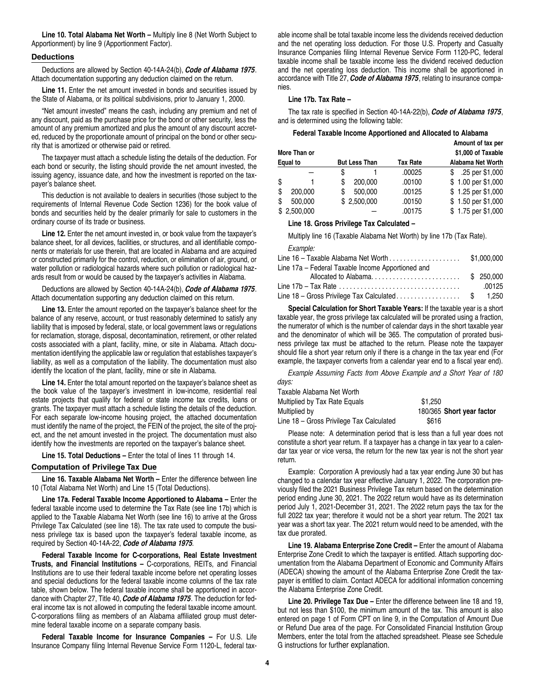**Line 10. Total Alabama Net Worth –** Multiply line 8 (Net Worth Subject to Apportionment) by line 9 (Apportionment Factor).

#### **Deductions**

Deductions are allowed by Section 40-14A-24(b), *Code of Alabama 1975*. Attach documentation supporting any deduction claimed on the return.

Line 11. Enter the net amount invested in bonds and securities issued by the State of Alabama, or its political subdivisions, prior to January 1, 2000.

"Net amount invested" means the cash, including any premium and net of any discount, paid as the purchase price for the bond or other security, less the amount of any premium amortized and plus the amount of any discount accreted, reduced by the proportionate amount of principal on the bond or other security that is amortized or otherwise paid or retired.

The taxpayer must attach a schedule listing the details of the deduction. For each bond or security, the listing should provide the net amount invested, the issuing agency, issuance date, and how the investment is reported on the taxpayer's balance sheet.

This deduction is not available to dealers in securities (those subject to the requirements of Internal Revenue Code Section 1236) for the book value of bonds and securities held by the dealer primarily for sale to customers in the ordinary course of its trade or business.

**Line 12.** Enter the net amount invested in, or book value from the taxpayer's balance sheet, for all devices, facilities, or structures, and all identifiable components or materials for use therein, that are located in Alabama and are acquired or constructed primarily for the control, reduction, or elimination of air, ground, or water pollution or radiological hazards where such pollution or radiological hazards result from or would be caused by the taxpayer's activities in Alabama.

Deductions are allowed by Section 40-14A-24(b), *Code of Alabama 1975*. Attach documentation supporting any deduction claimed on this return.

**Line 13.** Enter the amount reported on the taxpayer's balance sheet for the balance of any reserve, account, or trust reasonably determined to satisfy any liability that is imposed by federal, state, or local government laws or regulations for reclamation, storage, disposal, decontamination, retirement, or other related costs associated with a plant, facility, mine, or site in Alabama. Attach documentation identifying the applicable law or regulation that establishes taxpayer's liability, as well as a computation of the liability. The documentation must also identify the location of the plant, facility, mine or site in Alabama.

Line 14. Enter the total amount reported on the taxpayer's balance sheet as the book value of the taxpayer's investment in low-income, residential real estate projects that qualify for federal or state income tax credits, loans or grants. The taxpayer must attach a schedule listing the details of the deduction. For each separate low-income housing project, the attached documentation must identify the name of the project, the FEIN of the project, the site of the project, and the net amount invested in the project. The documentation must also identify how the investments are reported on the taxpayer's balance sheet.

**Line 15. Total Deductions –** Enter the total of lines 11 through 14.

#### **Computation of Privilege Tax Due**

**Line 16. Taxable Alabama Net Worth –** Enter the difference between line 10 (Total Alabama Net Worth) and Line 15 (Total Deductions).

**Line 17a. Federal Taxable Income Apportioned to Alabama –** Enter the federal taxable income used to determine the Tax Rate (see line 17b) which is applied to the Taxable Alabama Net Worth (see line 16) to arrive at the Gross Privilege Tax Calculated (see line 18). The tax rate used to compute the business privilege tax is based upon the taxpayer's federal taxable income, as required by Section 40-14A-22, *Code of Alabama 1975.*

**Federal Taxable Income for C-corporations, Real Estate Investment Trusts, and Financial Institutions –** C-corporations, REITs, and Financial Institutions are to use their federal taxable income before net operating losses and special deductions for the federal taxable income columns of the tax rate table, shown below. The federal taxable income shall be apportioned in accordance with Chapter 27, Title 40, *Code of Alabama 1975*. The deduction for federal income tax is not allowed in computing the federal taxable income amount. C-corporations filing as members of an Alabama affiliated group must determine federal taxable income on a separate company basis.

**Federal Taxable Income for Insurance Companies –** For U.S. Life Insurance Company filing Internal Revenue Service Form 1120-L, federal taxable income shall be total taxable income less the dividends received deduction and the net operating loss deduction. For those U.S. Property and Casualty Insurance Companies filing Internal Revenue Service Form 1120-PC, federal taxable income shall be taxable income less the dividend received deduction and the net operating loss deduction. This income shall be apportioned in accordance with Title 27, *Code of Alabama 1975*, relating to insurance companies.

#### **Line 17b. Tax Rate –**

The tax rate is specified in Section 40-14A-22(b), *Code of Alabama 1975*, and is determined using the following table:

#### **Federal Taxable Income Apportioned and Allocated to Alabama**

|          |              |                      |             |                 | Amount of tax per  |
|----------|--------------|----------------------|-------------|-----------------|--------------------|
|          | More Than or |                      |             |                 | \$1,000 of Taxable |
| Equal to |              | <b>But Less Than</b> |             | <b>Tax Rate</b> | Alabama Net Worth  |
|          |              | S                    |             | .00025          | .25 per \$1,000    |
| S        |              | S                    | 200,000     | .00100          | \$1.00 per \$1,000 |
| \$       | 200.000      | S                    | 500.000     | .00125          | \$1.25 per \$1,000 |
| S        | 500.000      |                      | \$2,500,000 | .00150          | \$1.50 per \$1,000 |
|          | \$2,500,000  |                      |             | .00175          | \$1.75 per \$1,000 |

#### **Line 18. Gross Privilege Tax Calculated –**

Multiply line 16 (Taxable Alabama Net Worth) by line 17b (Tax Rate).

*Example:*

| Line 17a – Federal Taxable Income Apportioned and |  |        |
|---------------------------------------------------|--|--------|
|                                                   |  |        |
|                                                   |  | .00125 |
| Line 18 - Gross Privilege Tax Calculated\$ 1,250  |  |        |

**Special Calculation for Short Taxable Years:** If the taxable year is a short taxable year, the gross privilege tax calculated will be prorated using a fraction, the numerator of which is the number of calendar days in the short taxable year and the denominator of which will be 365. The computation of prorated business privilege tax must be attached to the return. Please note the taxpayer should file a short year return only if there is a change in the tax year end (For example, the taxpayer converts from a calendar year end to a fiscal year end).

*Example Assuming Facts from Above Example and a Short Year of 180 days:*

| Taxable Alabama Net Worth                |                           |  |
|------------------------------------------|---------------------------|--|
| Multiplied by Tax Rate Equals            | \$1.250                   |  |
| Multiplied by                            | 180/365 Short year factor |  |
| Line 18 - Gross Privilege Tax Calculated | \$616                     |  |

Please note: A determination period that is less than a full year does not constitute a short year return. If a taxpayer has a change in tax year to a calendar tax year or vice versa, the return for the new tax year is not the short year return.

Example: Corporation A previously had a tax year ending June 30 but has changed to a calendar tax year effective January 1, 2022. The corporation previously filed the 2021 Business Privilege Tax return based on the determination period ending June 30, 2021. The 2022 return would have as its determination period July 1, 2021-December 31, 2021. The 2022 return pays the tax for the full 2022 tax year; therefore it would not be a short year return. The 2021 tax year was a short tax year. The 2021 return would need to be amended, with the tax due prorated.

**Line 19. Alabama Enterprise Zone Credit –** Enter the amount of Alabama Enterprise Zone Credit to which the taxpayer is entitled. Attach supporting documentation from the Alabama Department of Economic and Community Affairs (ADECA) showing the amount of the Alabama Enterprise Zone Credit the taxpayer is entitled to claim. Contact ADECA for additional information concerning the Alabama Enterprise Zone Credit.

**Line 20. Privilege Tax Due –** Enter the difference between line 18 and 19, but not less than \$100, the minimum amount of the tax. This amount is also entered on page 1 of Form CPT on line 9, in the Computation of Amount Due or Refund Due area of the page. For Consolidated Financial Institution Group Members, enter the total from the attached spreadsheet. Please see Schedule G instructions for further explanation.